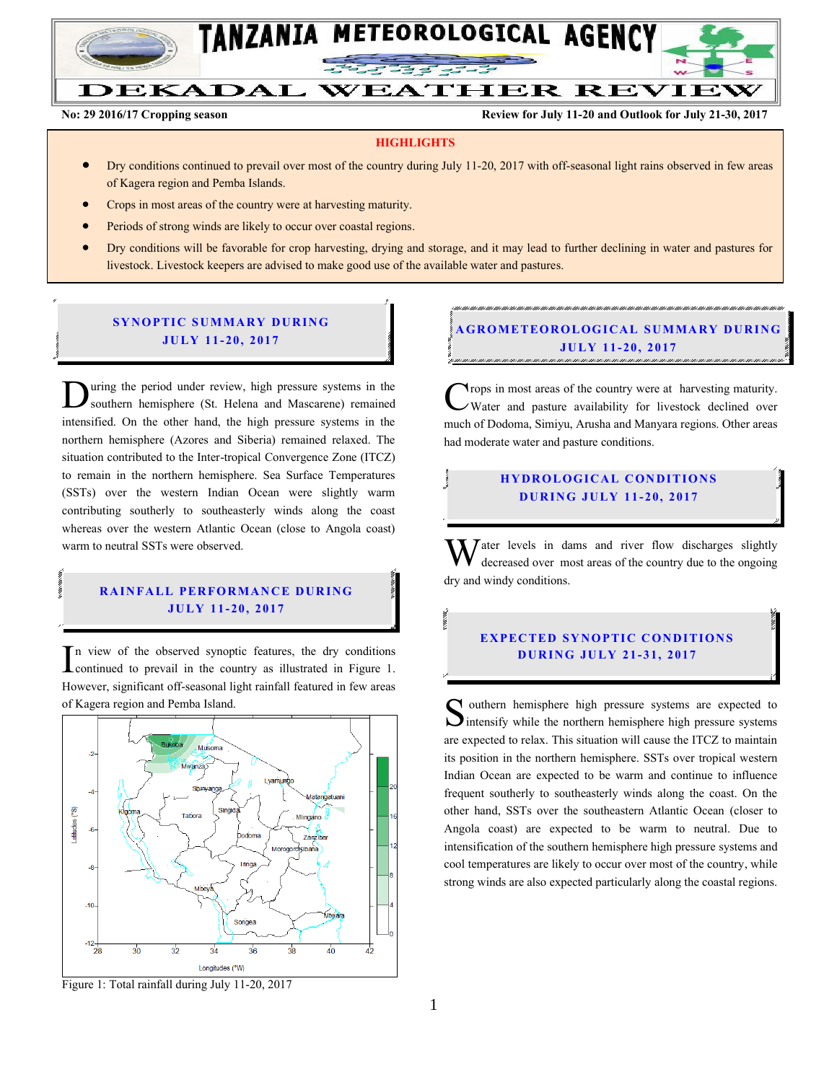

# DEKADAL WEATHER REVIEW

**No: 29 2016/17 Cropping season Review for July 11-20 and Outlook for July 21-30, 2017**

#### **HIGHLIGHTS**

- Dry conditions continued to prevail over most of the country during July 11-20, 2017 with off-seasonal light rains observed in few areas of Kagera region and Pemba Islands.
- Crops in most areas of the country were at harvesting maturity.
- Periods of strong winds are likely to occur over coastal regions.
- Dry conditions will be favorable for crop harvesting, drying and storage, and it may lead to further declining in water and pastures for livestock. Livestock keepers are advised to make good use of the available water and pastures.

#### **SYNOPTIC SUMMARY DURING JULY 11- 20, 2017**

uring the period under review, high pressure systems in the southern hemisphere (St. Helena and Mascarene) remained **D** uring the period under review, high pressure systems in the southern hemisphere (St. Helena and Mascarene) remained intensified. On the other hand, the high pressure systems in the northern hemisphere (Azores and Siberia) remained relaxed. The situation contributed to the Inter-tropical Convergence Zone (ITCZ) to remain in the northern hemisphere. Sea Surface Temperatures (SSTs) over the western Indian Ocean were slightly warm contributing southerly to southeasterly winds along the coast whereas over the western Atlantic Ocean (close to Angola coast) warm to neutral SSTs were observed.

#### **RAINFALL PERFORMANCE DURING JULY 11- 20, 2017**

n view of the observed synoptic features, the dry conditions In view of the observed synoptic features, the dry conditions continued to prevail in the country as illustrated in Figure 1. However, significant off-seasonal light rainfall featured in few areas of Kagera region and Pemba Island.



Figure 1: Total rainfall during July 11-20, 2017

## **GROMETEOROLOGICAL SUMMARY DURING JULY 11- 20 , 2017**

**Trops** in most areas of the country were at harvesting maturity. Water and pasture availability for livestock declined over much of Dodoma, Simiyu, Arusha and Manyara regions. Other areas had moderate water and pasture conditions. C

#### **HYDROLOGICAL CONDITIONS D UR ING JU LY 11 - 20, 2017**

 $\bar{J}$  ater levels in dams and river flow discharges slightly decreased over most areas of the country due to the ongoing dry and windy conditions. W

#### **EXPECTED SYNOPTIC CONDITIONS D UR ING JULY 21 - 31, 2017**

 $\bigcap$  outhern hemisphere high pressure systems are expected to Southern hemisphere high pressure systems are expected to intensify while the northern hemisphere high pressure systems are expected to relax. This situation will cause the ITCZ to maintain its position in the northern hemisphere. SSTs over tropical western Indian Ocean are expected to be warm and continue to influence frequent southerly to southeasterly winds along the coast. On the other hand, SSTs over the southeastern Atlantic Ocean (closer to Angola coast) are expected to be warm to neutral. Due to intensification of the southern hemisphere high pressure systems and cool temperatures are likely to occur over most of the country, while strong winds are also expected particularly along the coastal regions.